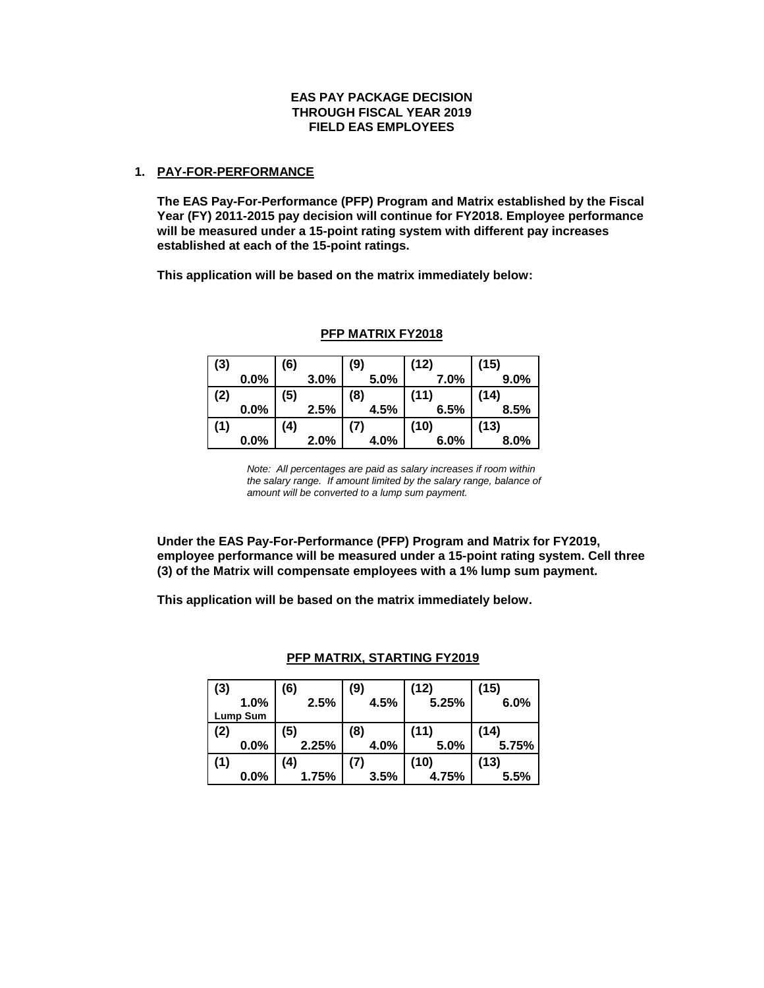# **EAS PAY PACKAGE DECISION THROUGH FISCAL YEAR 2019 FIELD EAS EMPLOYEES**

### **1. PAY-FOR-PERFORMANCE**

**The EAS Pay-For-Performance (PFP) Program and Matrix established by the Fiscal Year (FY) 2011-2015 pay decision will continue for FY2018. Employee performance will be measured under a 15-point rating system with different pay increases established at each of the 15-point ratings.**

**This application will be based on the matrix immediately below:**

| (3) |      | (6) |      | (9)  | (12) | (15) |
|-----|------|-----|------|------|------|------|
|     | 0.0% |     | 3.0% | 5.0% | 7.0% | 9.0% |
| (2) |      | (5) |      | (8)  | (11) | (14) |
|     | 0.0% |     | 2.5% | 4.5% | 6.5% | 8.5% |
| (1) |      | (4) |      |      | (10) | (13) |
|     | 0.0% |     | 2.0% | 4.0% | 6.0% | 8.0% |

### **PFP MATRIX FY2018**

*Note: All percentages are paid as salary increases if room within the salary range. If amount limited by the salary range, balance of amount will be converted to a lump sum payment.*

**Under the EAS Pay-For-Performance (PFP) Program and Matrix for FY2019, employee performance will be measured under a 15-point rating system. Cell three (3) of the Matrix will compensate employees with a 1% lump sum payment.** 

**This application will be based on the matrix immediately below.**

| (3)      | (6)   | (9)  | (12)  | (15)  |
|----------|-------|------|-------|-------|
| 1.0%     | 2.5%  | 4.5% | 5.25% | 6.0%  |
| Lump Sum |       |      |       |       |
| (2)      | (5)   | (8)  | (11)  | (14)  |
| 0.0%     | 2.25% | 4.0% | 5.0%  | 5.75% |
| (1)      | (4)   | (7)  | (10)  | (13)  |
| $0.0\%$  | 1.75% | 3.5% | 4.75% | 5.5%  |

### **PFP MATRIX, STARTING FY2019**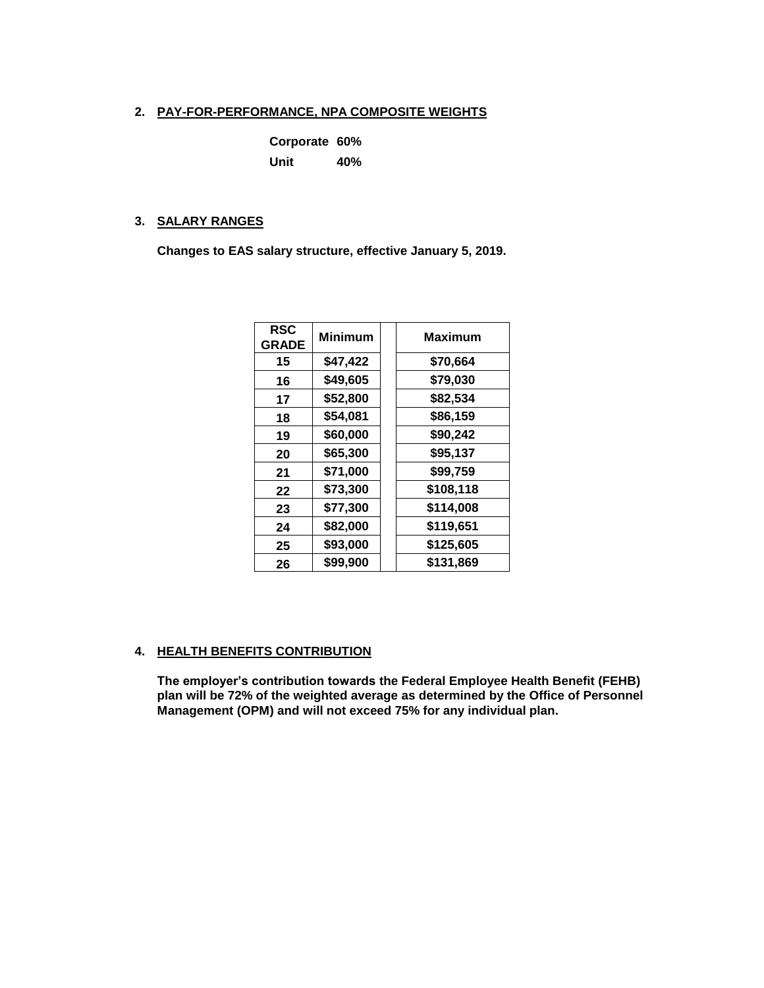# **2. PAY-FOR-PERFORMANCE, NPA COMPOSITE WEIGHTS**

| Corporate 60% |     |
|---------------|-----|
| Unit          | 40% |

### **3. SALARY RANGES**

**Changes to EAS salary structure, effective January 5, 2019.**

| <b>RSC</b><br><b>GRADE</b> | <b>Minimum</b> | Maximum   |
|----------------------------|----------------|-----------|
| 15                         | \$47,422       | \$70,664  |
| 16                         | \$49,605       | \$79,030  |
| 17                         | \$52,800       | \$82,534  |
| 18                         | \$54,081       | \$86,159  |
| 19                         | \$60,000       | \$90,242  |
| 20                         | \$65,300       | \$95,137  |
| 21                         | \$71,000       | \$99,759  |
| 22                         | \$73,300       | \$108,118 |
| 23                         | \$77,300       | \$114,008 |
| 24                         | \$82,000       | \$119,651 |
| 25                         | \$93,000       | \$125,605 |
| 26                         | \$99,900       | \$131,869 |

# **4. HEALTH BENEFITS CONTRIBUTION**

**The employer's contribution towards the Federal Employee Health Benefit (FEHB) plan will be 72% of the weighted average as determined by the Office of Personnel Management (OPM) and will not exceed 75% for any individual plan.**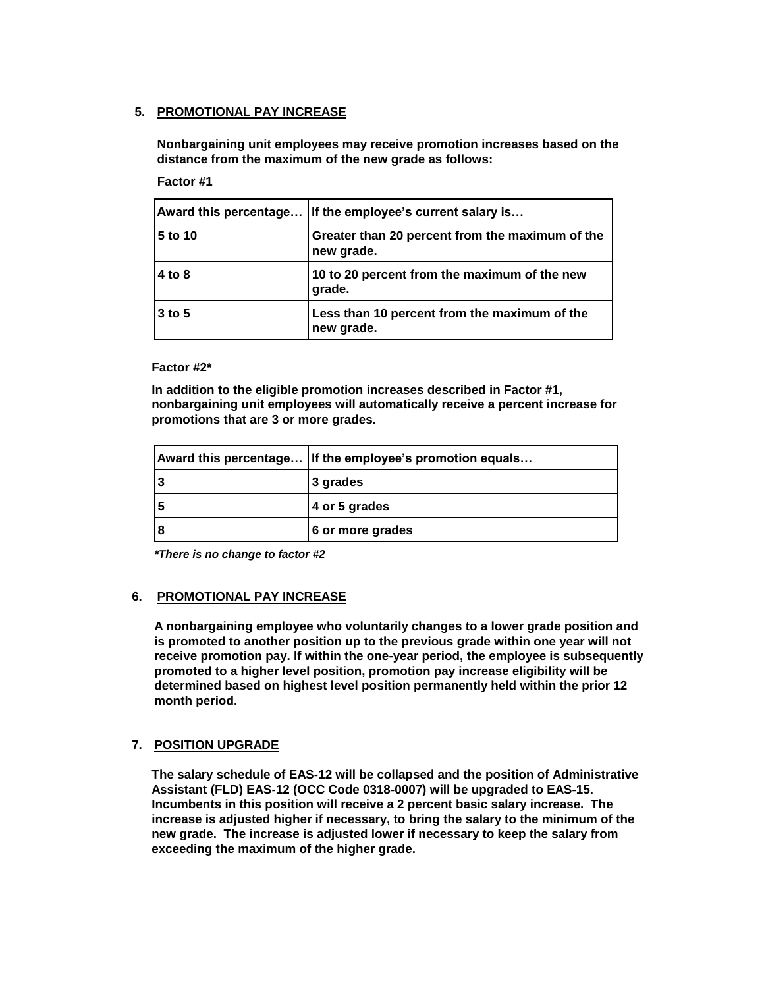# **5. PROMOTIONAL PAY INCREASE**

**Nonbargaining unit employees may receive promotion increases based on the distance from the maximum of the new grade as follows:**

# **Factor #1**

|          | Award this percentage If the employee's current salary is     |
|----------|---------------------------------------------------------------|
| 5 to 10  | Greater than 20 percent from the maximum of the<br>new grade. |
| 4 to 8   | 10 to 20 percent from the maximum of the new<br>grade.        |
| $3$ to 5 | Less than 10 percent from the maximum of the<br>new grade.    |

#### **Factor #2\***

**In addition to the eligible promotion increases described in Factor #1, nonbargaining unit employees will automatically receive a percent increase for promotions that are 3 or more grades.**

| Award this percentage If the employee's promotion equals |
|----------------------------------------------------------|
| 3 grades                                                 |
| 4 or 5 grades                                            |
| 6 or more grades                                         |

*\*There is no change to factor #2*

### **6. PROMOTIONAL PAY INCREASE**

**A nonbargaining employee who voluntarily changes to a lower grade position and is promoted to another position up to the previous grade within one year will not receive promotion pay. If within the one-year period, the employee is subsequently promoted to a higher level position, promotion pay increase eligibility will be determined based on highest level position permanently held within the prior 12 month period.**

### **7. POSITION UPGRADE**

**The salary schedule of EAS-12 will be collapsed and the position of Administrative Assistant (FLD) EAS-12 (OCC Code 0318-0007) will be upgraded to EAS-15. Incumbents in this position will receive a 2 percent basic salary increase. The increase is adjusted higher if necessary, to bring the salary to the minimum of the new grade. The increase is adjusted lower if necessary to keep the salary from exceeding the maximum of the higher grade.**